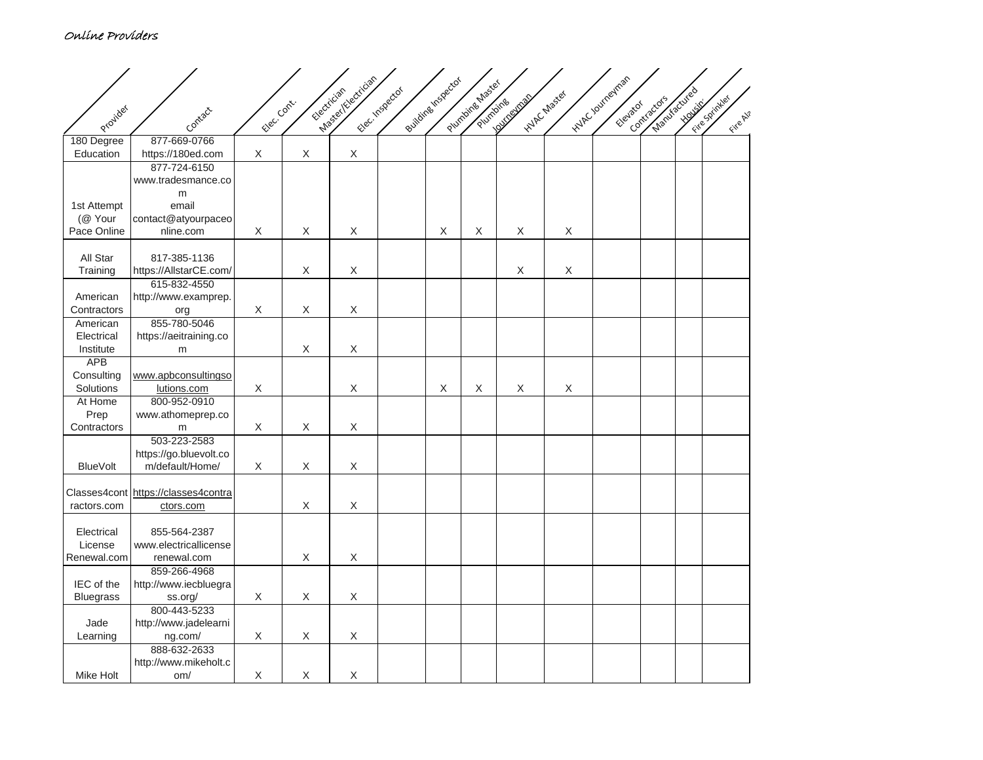## Online Providers

|                     |                                     |              |             | Masellicectician |                 |                 |                 |                         |             | INVECTOURIESINSON |              |              |               |
|---------------------|-------------------------------------|--------------|-------------|------------------|-----------------|-----------------|-----------------|-------------------------|-------------|-------------------|--------------|--------------|---------------|
|                     |                                     |              |             | Electrician      | Electricspector | evidneshspector | Plumbineshaster |                         | internaster |                   | Manufactured |              |               |
| Provider            |                                     | Elec. Contr. |             |                  |                 |                 | Plumbing        | <b>Louise Magnetics</b> |             | Elevator          | Contractors  | <b>HOUSE</b> | Fire Spinyles |
|                     | Contact                             |              |             |                  |                 |                 |                 |                         |             |                   |              |              | Fire Al?      |
| 180 Degree          | 877-669-0766                        |              |             |                  |                 |                 |                 |                         |             |                   |              |              |               |
| Education           | https://180ed.com                   | $\mathsf X$  | Χ           | $\mathsf X$      |                 |                 |                 |                         |             |                   |              |              |               |
|                     | 877-724-6150                        |              |             |                  |                 |                 |                 |                         |             |                   |              |              |               |
|                     | www.tradesmance.co                  |              |             |                  |                 |                 |                 |                         |             |                   |              |              |               |
|                     | m                                   |              |             |                  |                 |                 |                 |                         |             |                   |              |              |               |
| 1st Attempt         | email                               |              |             |                  |                 |                 |                 |                         |             |                   |              |              |               |
| (@ Your             | contact@atyourpaceo                 |              |             |                  |                 |                 |                 |                         |             |                   |              |              |               |
| Pace Online         | nline.com                           | X            | X           | X                |                 | $\mathsf X$     | Χ               | X                       | X           |                   |              |              |               |
|                     |                                     |              |             |                  |                 |                 |                 |                         |             |                   |              |              |               |
| All Star            | 817-385-1136                        |              |             |                  |                 |                 |                 |                         |             |                   |              |              |               |
| Training            | https://AllstarCE.com/              |              | $\mathsf X$ | $\mathsf X$      |                 |                 |                 | $\mathsf X$             | $\mathsf X$ |                   |              |              |               |
|                     | 615-832-4550                        |              |             |                  |                 |                 |                 |                         |             |                   |              |              |               |
| American            | http://www.examprep.                |              |             |                  |                 |                 |                 |                         |             |                   |              |              |               |
| Contractors         | org                                 | X            | X           | X                |                 |                 |                 |                         |             |                   |              |              |               |
| American            | 855-780-5046                        |              |             |                  |                 |                 |                 |                         |             |                   |              |              |               |
| Electrical          | https://aeitraining.co              |              |             |                  |                 |                 |                 |                         |             |                   |              |              |               |
| Institute           | m                                   |              | $\mathsf X$ | $\mathsf X$      |                 |                 |                 |                         |             |                   |              |              |               |
| <b>APB</b>          |                                     |              |             |                  |                 |                 |                 |                         |             |                   |              |              |               |
| Consulting          | www.apbconsultingso                 |              |             |                  |                 |                 |                 |                         |             |                   |              |              |               |
| Solutions           | lutions.com                         | X            |             | X                |                 | Χ               | Χ               | X                       | $\mathsf X$ |                   |              |              |               |
| At Home             | 800-952-0910                        |              |             |                  |                 |                 |                 |                         |             |                   |              |              |               |
| Prep<br>Contractors | www.athomeprep.co                   | $\mathsf X$  | $\mathsf X$ | $\mathsf X$      |                 |                 |                 |                         |             |                   |              |              |               |
|                     | m<br>503-223-2583                   |              |             |                  |                 |                 |                 |                         |             |                   |              |              |               |
|                     | https://go.bluevolt.co              |              |             |                  |                 |                 |                 |                         |             |                   |              |              |               |
| <b>BlueVolt</b>     | m/default/Home/                     | Χ            | $\mathsf X$ | $\mathsf X$      |                 |                 |                 |                         |             |                   |              |              |               |
|                     |                                     |              |             |                  |                 |                 |                 |                         |             |                   |              |              |               |
|                     | Classes4cont https://classes4contra |              |             |                  |                 |                 |                 |                         |             |                   |              |              |               |
| ractors.com         | ctors.com                           |              | $\mathsf X$ | $\mathsf X$      |                 |                 |                 |                         |             |                   |              |              |               |
|                     |                                     |              |             |                  |                 |                 |                 |                         |             |                   |              |              |               |
| Electrical          | 855-564-2387                        |              |             |                  |                 |                 |                 |                         |             |                   |              |              |               |
| License             | www.electricallicense               |              |             |                  |                 |                 |                 |                         |             |                   |              |              |               |
| Renewal.com         | renewal.com                         |              | $\mathsf X$ | X                |                 |                 |                 |                         |             |                   |              |              |               |
|                     | 859-266-4968                        |              |             |                  |                 |                 |                 |                         |             |                   |              |              |               |
| IEC of the          | http://www.iecbluegra               |              |             |                  |                 |                 |                 |                         |             |                   |              |              |               |
| <b>Bluegrass</b>    | ss.org/                             | $\mathsf X$  | $\mathsf X$ | $\mathsf X$      |                 |                 |                 |                         |             |                   |              |              |               |
|                     | 800-443-5233                        |              |             |                  |                 |                 |                 |                         |             |                   |              |              |               |
| Jade                | http://www.jadelearni               |              |             |                  |                 |                 |                 |                         |             |                   |              |              |               |
| Learning            | ng.com/                             | X            | X           | X                |                 |                 |                 |                         |             |                   |              |              |               |
|                     | 888-632-2633                        |              |             |                  |                 |                 |                 |                         |             |                   |              |              |               |
|                     | http://www.mikeholt.c               |              |             |                  |                 |                 |                 |                         |             |                   |              |              |               |
| Mike Holt           | om/                                 | $\mathsf X$  | Χ           | $\mathsf X$      |                 |                 |                 |                         |             |                   |              |              |               |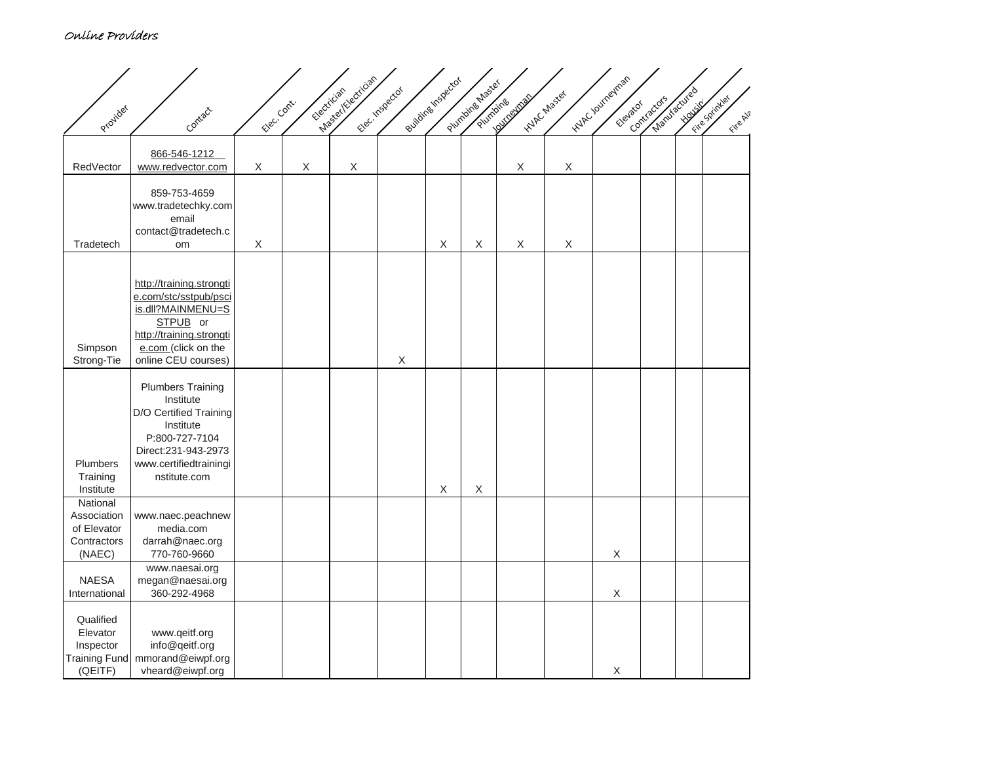## Online Providers

|                                   |                                                 |   |              | Masey Yelectrician<br>Electrician | Flectrispector | Buildine Inspector | Plumbing Master | <b>Automobile</b> | inthcuraster | inder roungings | Manufactured<br>Contractors | <b>Young Many</b> | Fire Spinyles |
|-----------------------------------|-------------------------------------------------|---|--------------|-----------------------------------|----------------|--------------------|-----------------|-------------------|--------------|-----------------|-----------------------------|-------------------|---------------|
| Provider                          | Contact                                         |   | Elec. Contr. |                                   |                |                    | Plumbing        |                   |              | Elevator        |                             |                   | Fire Al?      |
|                                   | 866-546-1212                                    |   |              |                                   |                |                    |                 |                   |              |                 |                             |                   |               |
| RedVector                         | www.redvector.com                               | X | $\mathsf X$  | $\mathsf X$                       |                |                    |                 | $\mathsf X$       | $\mathsf X$  |                 |                             |                   |               |
|                                   | 859-753-4659                                    |   |              |                                   |                |                    |                 |                   |              |                 |                             |                   |               |
|                                   | www.tradetechky.com                             |   |              |                                   |                |                    |                 |                   |              |                 |                             |                   |               |
|                                   | email<br>contact@tradetech.c                    |   |              |                                   |                |                    |                 |                   |              |                 |                             |                   |               |
| Tradetech                         | om                                              | X |              |                                   |                | X                  | $\mathsf X$     | X                 | X            |                 |                             |                   |               |
|                                   |                                                 |   |              |                                   |                |                    |                 |                   |              |                 |                             |                   |               |
|                                   | http://training.strongti                        |   |              |                                   |                |                    |                 |                   |              |                 |                             |                   |               |
|                                   | e.com/stc/sstpub/psci<br>is.dll?MAINMENU=S      |   |              |                                   |                |                    |                 |                   |              |                 |                             |                   |               |
|                                   | STPUB or                                        |   |              |                                   |                |                    |                 |                   |              |                 |                             |                   |               |
| Simpson                           | http://training.strongti<br>e.com (click on the |   |              |                                   |                |                    |                 |                   |              |                 |                             |                   |               |
| Strong-Tie                        | online CEU courses)                             |   |              |                                   | $\mathsf X$    |                    |                 |                   |              |                 |                             |                   |               |
|                                   | <b>Plumbers Training</b>                        |   |              |                                   |                |                    |                 |                   |              |                 |                             |                   |               |
|                                   | Institute                                       |   |              |                                   |                |                    |                 |                   |              |                 |                             |                   |               |
|                                   | D/O Certified Training                          |   |              |                                   |                |                    |                 |                   |              |                 |                             |                   |               |
|                                   | Institute<br>P:800-727-7104                     |   |              |                                   |                |                    |                 |                   |              |                 |                             |                   |               |
|                                   | Direct:231-943-2973                             |   |              |                                   |                |                    |                 |                   |              |                 |                             |                   |               |
| Plumbers<br>Training              | www.certifiedtrainingi<br>nstitute.com          |   |              |                                   |                |                    |                 |                   |              |                 |                             |                   |               |
| Institute                         |                                                 |   |              |                                   |                | X                  | $\mathsf X$     |                   |              |                 |                             |                   |               |
| National<br>Association           |                                                 |   |              |                                   |                |                    |                 |                   |              |                 |                             |                   |               |
| of Elevator                       | www.naec.peachnew<br>media.com                  |   |              |                                   |                |                    |                 |                   |              |                 |                             |                   |               |
| Contractors                       | darrah@naec.org                                 |   |              |                                   |                |                    |                 |                   |              |                 |                             |                   |               |
| (NAEC)                            | 770-760-9660<br>www.naesai.org                  |   |              |                                   |                |                    |                 |                   |              | X               |                             |                   |               |
| <b>NAESA</b>                      | megan@naesai.org                                |   |              |                                   |                |                    |                 |                   |              |                 |                             |                   |               |
| International                     | 360-292-4968                                    |   |              |                                   |                |                    |                 |                   |              | X               |                             |                   |               |
| Qualified                         |                                                 |   |              |                                   |                |                    |                 |                   |              |                 |                             |                   |               |
| Elevator                          | www.qeitf.org                                   |   |              |                                   |                |                    |                 |                   |              |                 |                             |                   |               |
| Inspector<br><b>Training Fund</b> | info@qeitf.org<br>mmorand@eiwpf.org             |   |              |                                   |                |                    |                 |                   |              |                 |                             |                   |               |
| (QEITF)                           | vheard@eiwpf.org                                |   |              |                                   |                |                    |                 |                   |              | $\mathsf X$     |                             |                   |               |